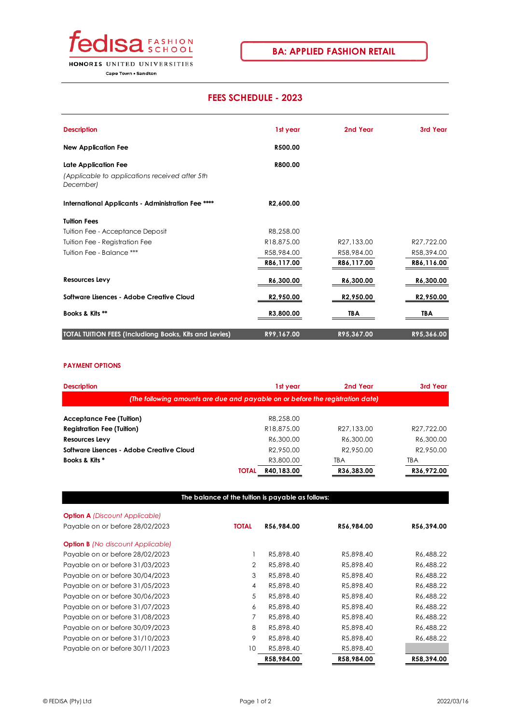

## **FEES SCHEDULE - 2023**

| <b>Description</b>                                          | 1st year               | 2nd Year               | 3rd Year              |
|-------------------------------------------------------------|------------------------|------------------------|-----------------------|
| <b>New Application Fee</b>                                  | R500.00                |                        |                       |
| <b>Late Application Fee</b>                                 | R800.00                |                        |                       |
| (Applicable to applications received after 5th<br>December) |                        |                        |                       |
| International Applicants - Administration Fee ****          | R2,600.00              |                        |                       |
| <b>Tuition Fees</b>                                         |                        |                        |                       |
| Tuition Fee - Acceptance Deposit                            | R8.258.00              |                        |                       |
| Tuition Fee - Registration Fee                              | R18,875.00             | R27,133.00             | R27,722.00            |
| Tuition Fee - Balance ***                                   | R58,984.00             | R58,984.00             | R58,394.00            |
|                                                             | R86,117.00             | R86,117.00             | R86,116.00            |
| Resources Levy                                              | R6,300.00              | R6,300.00              | R6,300.00             |
| Software Lisences - Adobe Creative Cloud                    | R <sub>2</sub> ,950.00 | R <sub>2</sub> ,950.00 | R <sub>2,950.00</sub> |
| Books & Kits **                                             | R3,800.00              | TBA                    | TBA                   |
| TOTAL TUITION FEES (Includiong Books, Kits and Levies)      | R99,167.00             | R95,367.00             | R95,366.00            |

## **PAYMENT OPTIONS**

| <b>Description</b>                                                             |              | 1st year              | 2nd Year              | 3rd Year              |  |  |  |  |  |
|--------------------------------------------------------------------------------|--------------|-----------------------|-----------------------|-----------------------|--|--|--|--|--|
| (The following amounts are due and payable on or before the registration date) |              |                       |                       |                       |  |  |  |  |  |
| <b>Acceptance Fee (Tuition)</b>                                                |              | R8.258.00             |                       |                       |  |  |  |  |  |
| <b>Registration Fee (Tuition)</b>                                              |              | R18,875,00            | R27.133.00            | R27.722.00            |  |  |  |  |  |
| <b>Resources Levy</b>                                                          |              | R6.300.00             | R6.300.00             | R6,300.00             |  |  |  |  |  |
| Software Lisences - Adobe Creative Cloud                                       |              | R <sub>2.950.00</sub> | R <sub>2.950.00</sub> | R <sub>2.950.00</sub> |  |  |  |  |  |
| Books & Kits *                                                                 |              | R3,800.00             | TBA                   | TBA                   |  |  |  |  |  |
|                                                                                | <b>TOTAL</b> | R40,183.00            | R36,383.00            | R36,972.00            |  |  |  |  |  |

## **The balance of the tuition is payable as follows:**

| <b>Option A</b> (Discount Applicable)    |              |            |            |            |
|------------------------------------------|--------------|------------|------------|------------|
| Payable on or before 28/02/2023          | <b>TOTAL</b> | R56,984.00 | R56,984.00 | R56,394.00 |
|                                          |              |            |            |            |
| <b>Option B</b> (No discount Applicable) |              |            |            |            |
| Payable on or before 28/02/2023          |              | R5,898.40  | R5.898.40  | R6,488.22  |
| Payable on or before 31/03/2023          | 2            | R5.898.40  | R5,898.40  | R6,488.22  |
| Payable on or before 30/04/2023          | 3            | R5.898.40  | R5,898.40  | R6,488.22  |
| Payable on or before 31/05/2023          | 4            | R5,898.40  | R5,898.40  | R6,488.22  |
| Payable on or before 30/06/2023          | 5            | R5.898.40  | R5,898.40  | R6,488.22  |
| Payable on or before 31/07/2023          | 6            | R5,898.40  | R5,898.40  | R6,488.22  |
| Payable on or before 31/08/2023          | 7            | R5,898.40  | R5,898.40  | R6,488.22  |
| Payable on or before 30/09/2023          | 8            | R5.898.40  | R5,898.40  | R6,488.22  |
| Payable on or before 31/10/2023          | 9            | R5,898.40  | R5,898.40  | R6,488.22  |
| Payable on or before 30/11/2023          | 10           | R5,898.40  | R5,898.40  |            |
|                                          |              | R58,984.00 | R58,984.00 | R58,394.00 |